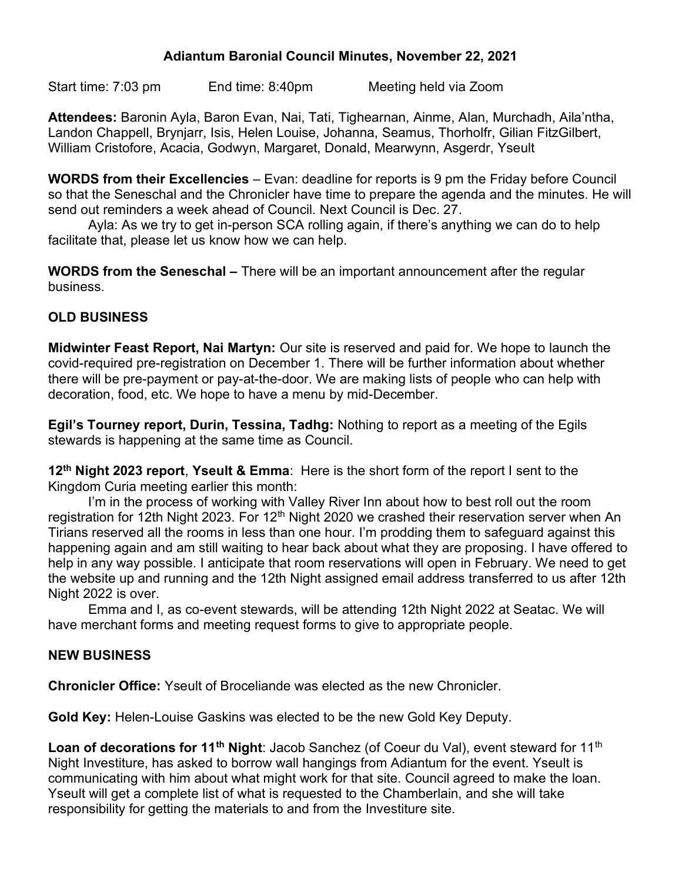## Adiantum Baronial Council Minutes, November 22, 2021

Start time: 7:03 pm End time: 8:40pm Meeting held via Zoom

Attendees: Baronin Ayla, Baron Evan, Nai, Tati, Tighearnan, Ainme, Alan, Murchadh, Aila'ntha, Landon Chappell, Brynjarr, Isis, Helen Louise, Johanna, Seamus, Thorholfr, Gilian FitzGilbert, William Cristofore, Acacia, Godwyn, Margaret, Donald, Mearwynn, Asgerdr, Yseult

WORDS from their Excellencies – Evan: deadline for reports is 9 pm the Friday before Council so that the Seneschal and the Chronicler have time to prepare the agenda and the minutes. He will send out reminders a week ahead of Council. Next Council is Dec. 27.

 Ayla: As we try to get in-person SCA rolling again, if there's anything we can do to help facilitate that, please let us know how we can help.

WORDS from the Seneschal – There will be an important announcement after the regular business.

# OLD BUSINESS

Midwinter Feast Report, Nai Martyn: Our site is reserved and paid for. We hope to launch the covid-required pre-registration on December 1. There will be further information about whether there will be pre-payment or pay-at-the-door. We are making lists of people who can help with decoration, food, etc. We hope to have a menu by mid-December.

Egil's Tourney report, Durin, Tessina, Tadhg: Nothing to report as a meeting of the Egils stewards is happening at the same time as Council.

12<sup>th</sup> Night 2023 report, Yseult & Emma: Here is the short form of the report I sent to the Kingdom Curia meeting earlier this month:

I'm in the process of working with Valley River Inn about how to best roll out the room registration for 12th Night 2023. For 12<sup>th</sup> Night 2020 we crashed their reservation server when An Tirians reserved all the rooms in less than one hour. I'm prodding them to safeguard against this happening again and am still waiting to hear back about what they are proposing. I have offered to help in any way possible. I anticipate that room reservations will open in February. We need to get the website up and running and the 12th Night assigned email address transferred to us after 12th Night 2022 is over.

 Emma and I, as co-event stewards, will be attending 12th Night 2022 at Seatac. We will have merchant forms and meeting request forms to give to appropriate people.

# NEW BUSINESS

Chronicler Office: Yseult of Broceliande was elected as the new Chronicler.

Gold Key: Helen-Louise Gaskins was elected to be the new Gold Key Deputy.

Loan of decorations for 11<sup>th</sup> Night: Jacob Sanchez (of Coeur du Val), event steward for 11<sup>th</sup> Night Investiture, has asked to borrow wall hangings from Adiantum for the event. Yseult is communicating with him about what might work for that site. Council agreed to make the loan. Yseult will get a complete list of what is requested to the Chamberlain, and she will take responsibility for getting the materials to and from the Investiture site.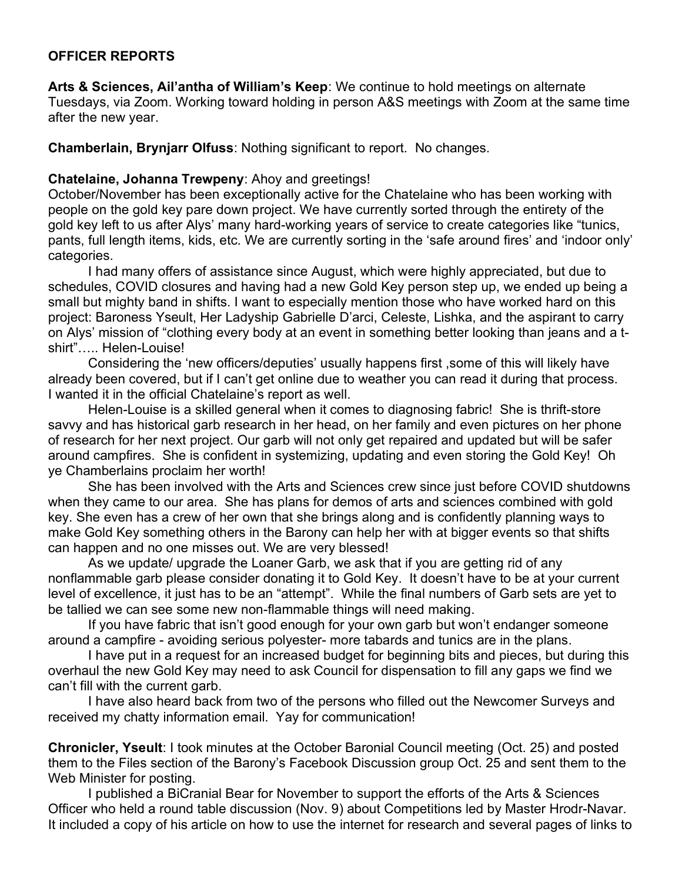### OFFICER REPORTS

Arts & Sciences, Ail'antha of William's Keep: We continue to hold meetings on alternate Tuesdays, via Zoom. Working toward holding in person A&S meetings with Zoom at the same time after the new year.

Chamberlain, Brynjarr Olfuss: Nothing significant to report. No changes.

#### Chatelaine, Johanna Trewpeny: Ahoy and greetings!

October/November has been exceptionally active for the Chatelaine who has been working with people on the gold key pare down project. We have currently sorted through the entirety of the gold key left to us after Alys' many hard-working years of service to create categories like "tunics, pants, full length items, kids, etc. We are currently sorting in the 'safe around fires' and 'indoor only' categories.

I had many offers of assistance since August, which were highly appreciated, but due to schedules, COVID closures and having had a new Gold Key person step up, we ended up being a small but mighty band in shifts. I want to especially mention those who have worked hard on this project: Baroness Yseult, Her Ladyship Gabrielle D'arci, Celeste, Lishka, and the aspirant to carry on Alys' mission of "clothing every body at an event in something better looking than jeans and a tshirt"….. Helen-Louise!

Considering the 'new officers/deputies' usually happens first ,some of this will likely have already been covered, but if I can't get online due to weather you can read it during that process. I wanted it in the official Chatelaine's report as well.

Helen-Louise is a skilled general when it comes to diagnosing fabric! She is thrift-store savvy and has historical garb research in her head, on her family and even pictures on her phone of research for her next project. Our garb will not only get repaired and updated but will be safer around campfires. She is confident in systemizing, updating and even storing the Gold Key! Oh ye Chamberlains proclaim her worth!

She has been involved with the Arts and Sciences crew since just before COVID shutdowns when they came to our area. She has plans for demos of arts and sciences combined with gold key. She even has a crew of her own that she brings along and is confidently planning ways to make Gold Key something others in the Barony can help her with at bigger events so that shifts can happen and no one misses out. We are very blessed!

As we update/ upgrade the Loaner Garb, we ask that if you are getting rid of any nonflammable garb please consider donating it to Gold Key. It doesn't have to be at your current level of excellence, it just has to be an "attempt". While the final numbers of Garb sets are yet to be tallied we can see some new non-flammable things will need making.

If you have fabric that isn't good enough for your own garb but won't endanger someone around a campfire - avoiding serious polyester- more tabards and tunics are in the plans.

I have put in a request for an increased budget for beginning bits and pieces, but during this overhaul the new Gold Key may need to ask Council for dispensation to fill any gaps we find we can't fill with the current garb.

I have also heard back from two of the persons who filled out the Newcomer Surveys and received my chatty information email. Yay for communication!

Chronicler, Yseult: I took minutes at the October Baronial Council meeting (Oct. 25) and posted them to the Files section of the Barony's Facebook Discussion group Oct. 25 and sent them to the Web Minister for posting.

I published a BiCranial Bear for November to support the efforts of the Arts & Sciences Officer who held a round table discussion (Nov. 9) about Competitions led by Master Hrodr-Navar. It included a copy of his article on how to use the internet for research and several pages of links to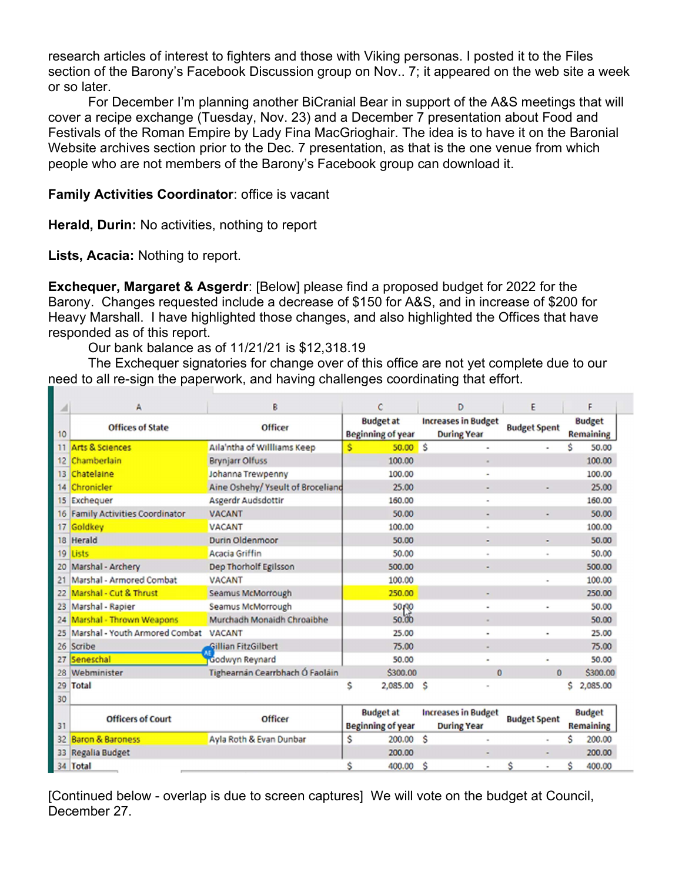research articles of interest to fighters and those with Viking personas. I posted it to the Files section of the Barony's Facebook Discussion group on Nov.. 7; it appeared on the web site a week or so later.

For December I'm planning another BiCranial Bear in support of the A&S meetings that will cover a recipe exchange (Tuesday, Nov. 23) and a December 7 presentation about Food and Festivals of the Roman Empire by Lady Fina MacGrioghair. The idea is to have it on the Baronial Website archives section prior to the Dec. 7 presentation, as that is the one venue from which people who are not members of the Barony's Facebook group can download it.

## Family Activities Coordinator: office is vacant

Herald, Durin: No activities, nothing to report

Lists, Acacia: Nothing to report.

Exchequer, Margaret & Asgerdr: [Below] please find a proposed budget for 2022 for the Barony. Changes requested include a decrease of \$150 for A&S, and in increase of \$200 for Heavy Marshall. I have highlighted those changes, and also highlighted the Offices that have responded as of this report.

Our bank balance as of 11/21/21 is \$12,318.19

The Exchequer signatories for change over of this office are not yet complete due to our need to all re-sign the paperwork, and having challenges coordinating that effort.

| Æ                 | Α                                    | B                                 | C                                     | D                                                | E                   | F                                 |
|-------------------|--------------------------------------|-----------------------------------|---------------------------------------|--------------------------------------------------|---------------------|-----------------------------------|
| 10                | <b>Offices of State</b>              | <b>Officer</b>                    | <b>Budget at</b><br>Beginning of year | <b>Increases in Budget</b><br><b>During Year</b> | <b>Budget Spent</b> | <b>Budget</b><br><b>Remaining</b> |
| 11                | <b>Arts &amp; Sciences</b>           | Aila'ntha of Willliams Keep       | $50.00$ \$<br>Ś                       | $\overline{a}$                                   |                     | Ś<br>50.00                        |
| $12 \overline{ }$ | Chamberlain                          | <b>Brynjarr Olfuss</b>            | 100.00                                |                                                  |                     | 100.00                            |
| 13                | Chatelaine                           | Johanna Trewpenny                 | 100.00                                | $\blacksquare$                                   |                     | 100.00                            |
| 14                | Chronicler                           | Aine Oshehy/ Yseult of Broceliand | 25.00                                 |                                                  |                     | 25.00                             |
| 15                | Exchequer                            | Asgerdr Audsdottir                | 160.00                                |                                                  |                     | 160.00                            |
| 16                | <b>Family Activities Coordinator</b> | <b>VACANT</b>                     | 50.00                                 | $\overline{\phantom{a}}$                         | ٠                   | 50.00                             |
| 17                | Goldkey                              | <b>VACANT</b>                     | 100.00                                | $\overline{a}$                                   |                     | 100.00                            |
| 18                | Herald                               | Durin Oldenmoor                   | 50.00                                 | ٠                                                | ٠                   | 50.00                             |
| 19                | Lists                                | <b>Acacia Griffin</b>             | 50.00                                 |                                                  | ٠                   | 50.00                             |
| 20                | Marshal - Archery                    | Dep Thorholf Egilsson             | 500.00                                | ٠                                                |                     | 500.00                            |
| 21                | Marshal - Armored Combat             | <b>VACANT</b>                     | 100.00                                |                                                  | ٠                   | 100.00                            |
| 22                | Marshal - Cut & Thrust               | Seamus McMorrough                 | 250.00                                |                                                  |                     | 250.00                            |
| 23                | Marshal - Rapier                     | Seamus McMorrough                 | 50,00                                 |                                                  | ٠                   | 50.00                             |
| 24                | Marshal - Thrown Weapons             | Murchadh Monaidh Chroaibhe        | 50.00                                 | $\blacksquare$                                   |                     | 50.00                             |
| 25                | Marshal - Youth Armored Combat       | <b>VACANT</b>                     | 25.00                                 |                                                  | $\blacksquare$      | 25.00                             |
| 26                | Scribe                               | Gillian FitzGilbert               | 75.00                                 | $\overline{\phantom{a}}$                         |                     | 75.00                             |
| 27                | Seneschal                            | Godwyn Reynard                    | 50.00                                 | $\overline{a}$                                   | $\blacksquare$      | 50.00                             |
| 28                | Webminister                          | Tighearnán Cearrbhach Ó Faoláin   | \$300.00                              | $\bf{0}$                                         | $\mathbf{0}$        | \$300.00                          |
| 29                | Total                                |                                   | \$<br>2,085.00 \$                     |                                                  |                     | 2,085.00<br>Ś                     |
| 30                |                                      |                                   |                                       |                                                  |                     |                                   |
|                   | <b>Officers of Court</b>             | Officer                           | <b>Budget at</b>                      | <b>Increases in Budget</b>                       | <b>Budget Spent</b> | <b>Budget</b>                     |
| 31                |                                      |                                   | <b>Beginning of year</b>              | <b>During Year</b>                               |                     | Remaining                         |
| 32                | <b>Baron &amp; Baroness</b>          | Ayla Roth & Evan Dunbar           | Ŝ<br>200.00                           | S<br>٠                                           | $\blacksquare$      | s<br>200.00                       |
| 33                | Regalia Budget                       |                                   | 200.00                                |                                                  |                     | 200.00                            |
| 34                | Total                                |                                   | Ŝ<br>400.00                           | S<br>۰                                           | Ŝ<br>$\blacksquare$ | Ŝ<br>400.00                       |

[Continued below - overlap is due to screen captures] We will vote on the budget at Council, December 27.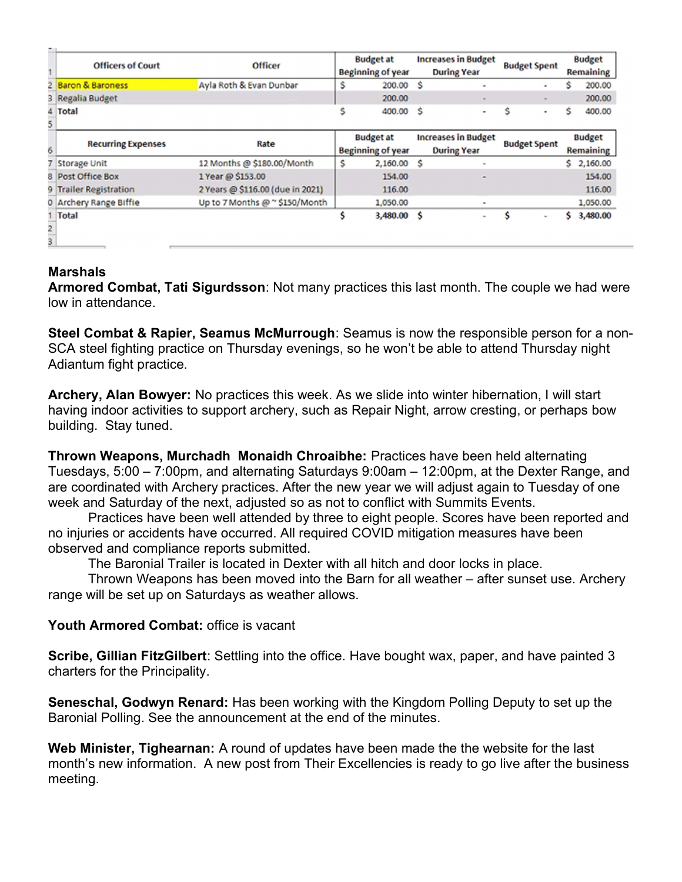|                | <b>Officers of Court</b>  | <b>Officer</b>                   | <b>Budget at</b><br><b>Beginning of year</b> |                                              | <b>Increases in Budget</b><br><b>During Year</b> |                                                  | <b>Budget Spent</b> |                     | <b>Budget</b><br>Remaining |                                   |
|----------------|---------------------------|----------------------------------|----------------------------------------------|----------------------------------------------|--------------------------------------------------|--------------------------------------------------|---------------------|---------------------|----------------------------|-----------------------------------|
|                | 2 Baron & Baroness        | Ayla Roth & Evan Dunbar          | Ŝ                                            | 200.00 \$                                    |                                                  |                                                  |                     | ۰                   | s                          | 200.00                            |
|                | 3 Regalia Budget          |                                  |                                              | 200.00                                       |                                                  | $\sim$                                           |                     |                     |                            | 200.00                            |
|                | 4 Total                   |                                  | s                                            | 400.00 \$                                    |                                                  | ۰                                                | Ś                   | ۰                   | Ś                          | 400.00                            |
| 5              |                           |                                  |                                              |                                              |                                                  |                                                  |                     |                     |                            |                                   |
| 6              | <b>Recurring Expenses</b> | Rate                             |                                              | <b>Budget at</b><br><b>Beginning of year</b> |                                                  | <b>Increases in Budget</b><br><b>During Year</b> |                     | <b>Budget Spent</b> |                            | <b>Budget</b><br><b>Remaining</b> |
|                | 7 Storage Unit            | 12 Months @ \$180.00/Month       | S                                            | $2,160.00$ \$                                |                                                  | $\sim$                                           |                     |                     | S.                         | 2,160.00                          |
|                | 8 Post Office Box         | 1 Year @ \$153.00                |                                              | 154.00                                       |                                                  | ۰                                                |                     |                     |                            | 154.00                            |
|                | 9 Trailer Registration    | 2 Years @ \$116.00 (due in 2021) |                                              | 116.00                                       |                                                  |                                                  |                     |                     |                            | 116.00                            |
|                | 0 Archery Range Biffie    | Up to 7 Months @ ~ \$150/Month   |                                              | 1,050.00                                     |                                                  | $\blacksquare$                                   |                     |                     |                            | 1,050.00                          |
|                | Total                     |                                  | s                                            | 3,480.00 \$                                  |                                                  | ۰                                                | S                   | $\,$                | s                          | 3,480.00                          |
| $\overline{a}$ |                           |                                  |                                              |                                              |                                                  |                                                  |                     |                     |                            |                                   |
|                |                           |                                  |                                              |                                              |                                                  |                                                  |                     |                     |                            |                                   |

# **Marshals**

Armored Combat, Tati Sigurdsson: Not many practices this last month. The couple we had were low in attendance.

Steel Combat & Rapier, Seamus McMurrough: Seamus is now the responsible person for a non-SCA steel fighting practice on Thursday evenings, so he won't be able to attend Thursday night Adiantum fight practice.

Archery, Alan Bowyer: No practices this week. As we slide into winter hibernation, I will start having indoor activities to support archery, such as Repair Night, arrow cresting, or perhaps bow building. Stay tuned.

Thrown Weapons, Murchadh Monaidh Chroaibhe: Practices have been held alternating Tuesdays, 5:00 – 7:00pm, and alternating Saturdays 9:00am – 12:00pm, at the Dexter Range, and are coordinated with Archery practices. After the new year we will adjust again to Tuesday of one week and Saturday of the next, adjusted so as not to conflict with Summits Events.

Practices have been well attended by three to eight people. Scores have been reported and no injuries or accidents have occurred. All required COVID mitigation measures have been observed and compliance reports submitted.

The Baronial Trailer is located in Dexter with all hitch and door locks in place.

Thrown Weapons has been moved into the Barn for all weather – after sunset use. Archery range will be set up on Saturdays as weather allows.

### Youth Armored Combat: office is vacant

Scribe, Gillian FitzGilbert: Settling into the office. Have bought wax, paper, and have painted 3 charters for the Principality.

Seneschal, Godwyn Renard: Has been working with the Kingdom Polling Deputy to set up the Baronial Polling. See the announcement at the end of the minutes.

Web Minister, Tighearnan: A round of updates have been made the the website for the last month's new information. A new post from Their Excellencies is ready to go live after the business meeting.